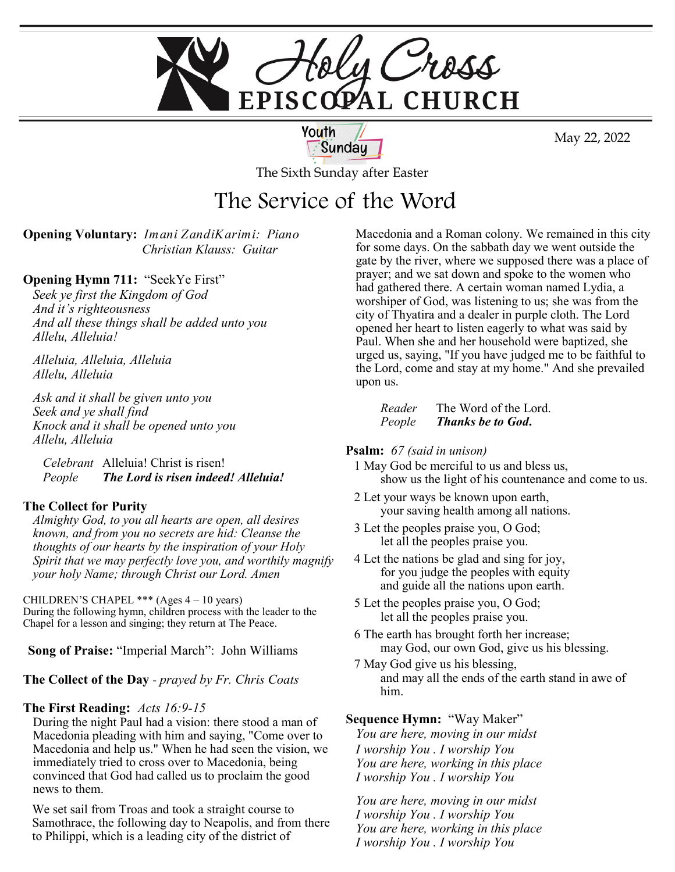

Youth Sunday

May 22, 2022

The Sixth Sunday after Easter

## The Service of the Word

**Opening Voluntary:** *Imani ZandiKarimi: Piano Christian Klauss: Guitar*

**Opening Hymn 711:** "SeekYe First"

*Seek ye first the Kingdom of God And it's righteousness And all these things shall be added unto you Allelu, Alleluia!*

*Alleluia, Alleluia, Alleluia Allelu, Alleluia*

*Ask and it shall be given unto you Seek and ye shall find Knock and it shall be opened unto you Allelu, Alleluia*

*Celebrant* Alleluia! Christ is risen! *People The Lord is risen indeed! Alleluia!* 

## **The Collect for Purity**

*Almighty God, to you all hearts are open, all desires known, and from you no secrets are hid: Cleanse the thoughts of our hearts by the inspiration of your Holy Spirit that we may perfectly love you, and worthily magnify your holy Name; through Christ our Lord. Amen* 

CHILDREN'S CHAPEL \*\*\* (Ages 4 – 10 years) During the following hymn, children process with the leader to the Chapel for a lesson and singing; they return at The Peace.

**Song of Praise:** "Imperial March": John Williams

**The Collect of the Day** - *prayed by Fr. Chris Coats*

## **The First Reading:** *Acts 16:9-15*

During the night Paul had a vision: there stood a man of Macedonia pleading with him and saying, "Come over to Macedonia and help us." When he had seen the vision, we immediately tried to cross over to Macedonia, being convinced that God had called us to proclaim the good news to them.

We set sail from Troas and took a straight course to Samothrace, the following day to Neapolis, and from there to Philippi, which is a leading city of the district of

Macedonia and a Roman colony. We remained in this city for some days. On the sabbath day we went outside the gate by the river, where we supposed there was a place of prayer; and we sat down and spoke to the women who had gathered there. A certain woman named Lydia, a worshiper of God, was listening to us; she was from the city of Thyatira and a dealer in purple cloth. The Lord opened her heart to listen eagerly to what was said by Paul. When she and her household were baptized, she urged us, saying, "If you have judged me to be faithful to the Lord, come and stay at my home." And she prevailed upon us.

*Reader* The Word of the Lord. *People Thanks be to God***.** 

**Psalm:** *67 (said in unison)*

- 1 May God be merciful to us and bless us, show us the light of his countenance and come to us.
- 2 Let your ways be known upon earth, your saving health among all nations.
- 3 Let the peoples praise you, O God; let all the peoples praise you.
- 4 Let the nations be glad and sing for joy, for you judge the peoples with equity and guide all the nations upon earth.
- 5 Let the peoples praise you, O God; let all the peoples praise you.
- 6 The earth has brought forth her increase; may God, our own God, give us his blessing.
- 7 May God give us his blessing, and may all the ends of the earth stand in awe of him.

## **Sequence Hymn:** "Way Maker"

*You are here, moving in our midst I worship You . I worship You You are here, working in this place I worship You . I worship You*

*You are here, moving in our midst I worship You . I worship You You are here, working in this place I worship You . I worship You*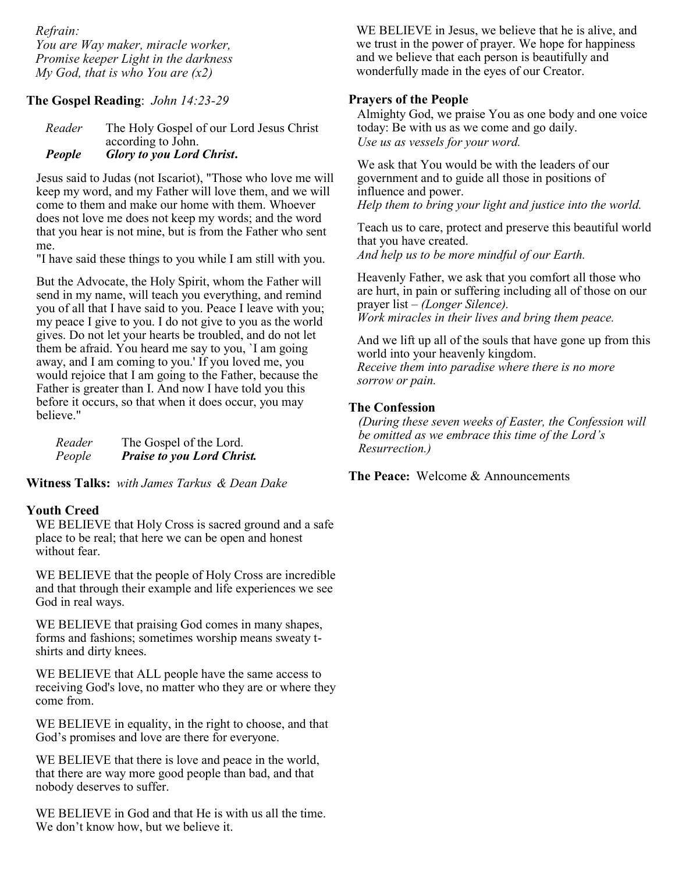*You are Way maker, miracle worker, Promise keeper Light in the darkness My God, that is who You are (x2)*

## **The Gospel Reading**: *John 14:23-29*

*Reader* The Holy Gospel of our Lord Jesus Christ according to John. *People Glory to you Lord Christ***.** 

Jesus said to Judas (not Iscariot), "Those who love me will keep my word, and my Father will love them, and we will come to them and make our home with them. Whoever does not love me does not keep my words; and the word that you hear is not mine, but is from the Father who sent me.

"I have said these things to you while I am still with you.

But the Advocate, the Holy Spirit, whom the Father will send in my name, will teach you everything, and remind you of all that I have said to you. Peace I leave with you; my peace I give to you. I do not give to you as the world gives. Do not let your hearts be troubled, and do not let them be afraid. You heard me say to you, `I am going away, and I am coming to you.' If you loved me, you would rejoice that I am going to the Father, because the Father is greater than I. And now I have told you this before it occurs, so that when it does occur, you may believe."

| Reader | The Gospel of the Lord.           |
|--------|-----------------------------------|
| People | <b>Praise to you Lord Christ.</b> |

**Witness Talks:** *with James Tarkus & Dean Dake*

#### **Youth Creed**

WE BELIEVE that Holy Cross is sacred ground and a safe place to be real; that here we can be open and honest without fear.

WE BELIEVE that the people of Holy Cross are incredible and that through their example and life experiences we see God in real ways.

WE BELIEVE that praising God comes in many shapes, forms and fashions; sometimes worship means sweaty tshirts and dirty knees.

WE BELIEVE that ALL people have the same access to receiving God's love, no matter who they are or where they come from.

WE BELIEVE in equality, in the right to choose, and that God's promises and love are there for everyone.

WE BELIEVE that there is love and peace in the world, that there are way more good people than bad, and that nobody deserves to suffer.

WE BELIEVE in God and that He is with us all the time. We don't know how, but we believe it.

 *Refrain:* WE BELIEVE in Jesus, we believe that he is alive, and we trust in the power of prayer. We hope for happiness and we believe that each person is beautifully and wonderfully made in the eyes of our Creator.

## **Prayers of the People**

Almighty God, we praise You as one body and one voice today: Be with us as we come and go daily. *Use us as vessels for your word.*

We ask that You would be with the leaders of our government and to guide all those in positions of influence and power. *Help them to bring your light and justice into the world.*

Teach us to care, protect and preserve this beautiful world that you have created. *And help us to be more mindful of our Earth.*

Heavenly Father, we ask that you comfort all those who are hurt, in pain or suffering including all of those on our prayer list *– (Longer Silence). Work miracles in their lives and bring them peace.*

And we lift up all of the souls that have gone up from this world into your heavenly kingdom. *Receive them into paradise where there is no more sorrow or pain.*

## **The Confession**

*(During these seven weeks of Easter, the Confession will be omitted as we embrace this time of the Lord's Resurrection.)*

**The Peace:** Welcome & Announcements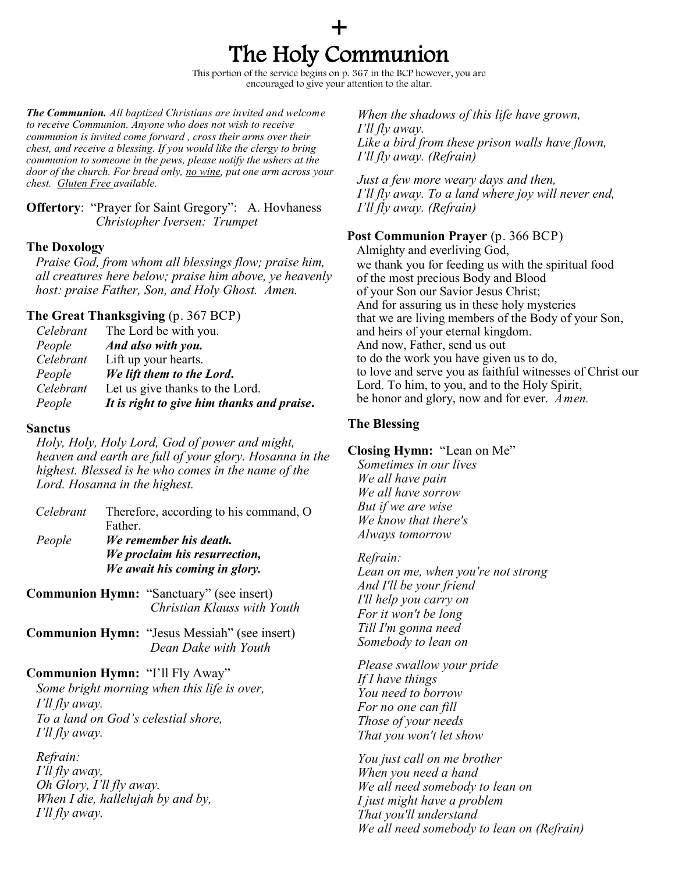# + The Holy Communion

This portion of the service begins on p. 367 in the BCP however, you are encouraged to give your attention to the altar.

*The Communion. All baptized Christians are invited and welcome to receive Communion. Anyone who does not wish to receive communion is invited come forward , cross their arms over their chest, and receive a blessing. If you would like the clergy to bring communion to someone in the pews, please notify the ushers at the door of the church. For bread only, no wine, put one arm across your chest. Gluten Free available.*

### **Offertory**: "Prayer for Saint Gregory": A. Hovhaness *Christopher Iversen: Trumpet*

## **The Doxology**

*Praise God, from whom all blessings flow; praise him, all creatures here below; praise him above, ye heavenly host: praise Father, Son, and Holy Ghost. Amen.*

## **The Great Thanksgiving** (p. 367 BCP)

| Celebrant | The Lord be with you.                      |
|-----------|--------------------------------------------|
| People    | And also with you.                         |
| Celebrant | Lift up your hearts.                       |
| People    | We lift them to the Lord.                  |
| Celebrant | Let us give thanks to the Lord.            |
| People    | It is right to give him thanks and praise. |

#### **Sanctus**

*Holy, Holy, Holy Lord, God of power and might, heaven and earth are full of your glory. Hosanna in the highest. Blessed is he who comes in the name of the Lord. Hosanna in the highest.* 

- *Celebrant* Therefore, according to his command, O Father.
- *People We remember his death. We proclaim his resurrection, We await his coming in glory.*
- **Communion Hymn:** "Sanctuary" (see insert) *Christian Klauss with Youth*
- **Communion Hymn:** "Jesus Messiah" (see insert) *Dean Dake with Youth*

## **Communion Hymn:** "I'll Fly Away"

*Some bright morning when this life is over, I'll fly away. To a land on God's celestial shore, I'll fly away.*

*Refrain: I'll fly away, Oh Glory, I'll fly away. When I die, hallelujah by and by, I'll fly away.*

*When the shadows of this life have grown, I'll fly away. Like a bird from these prison walls have flown, I'll fly away. (Refrain)*

*Just a few more weary days and then, I'll fly away. To a land where joy will never end, I'll fly away. (Refrain)*

## **Post Communion Prayer** (p. 366 BCP)

Almighty and everliving God, we thank you for feeding us with the spiritual food of the most precious Body and Blood of your Son our Savior Jesus Christ; And for assuring us in these holy mysteries that we are living members of the Body of your Son, and heirs of your eternal kingdom. And now, Father, send us out to do the work you have given us to do, to love and serve you as faithful witnesses of Christ our Lord. To him, to you, and to the Holy Spirit, be honor and glory, now and for ever. *Amen.*

## **The Blessing**

#### **Closing Hymn:** "Lean on Me"

*Sometimes in our lives We all have pain We all have sorrow But if we are wise We know that there's Always tomorrow*

#### *Refrain:*

*Lean on me, when you're not strong And I'll be your friend I'll help you carry on For it won't be long Till I'm gonna need Somebody to lean on*

*Please swallow your pride If I have things You need to borrow For no one can fill Those of your needs That you won't let show*

*You just call on me brother When you need a hand We all need somebody to lean on I just might have a problem That you'll understand We all need somebody to lean on (Refrain)*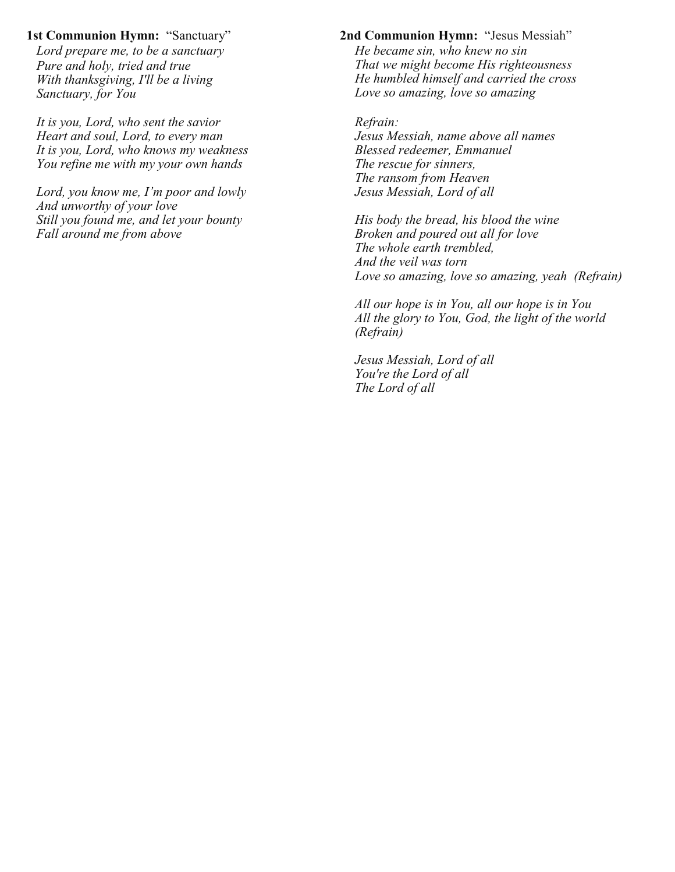## **1st Communion Hymn:** "Sanctuary"

*Lord prepare me, to be a sanctuary Pure and holy, tried and true With thanksgiving, I'll be a living Sanctuary, for You*

*It is you, Lord, who sent the savior Heart and soul, Lord, to every man It is you, Lord, who knows my weakness You refine me with my your own hands*

*Lord, you know me, I'm poor and lowly And unworthy of your love Still you found me, and let your bounty Fall around me from above*

### **2nd Communion Hymn:** "Jesus Messiah"

*He became sin, who knew no sin That we might become His righteousness He humbled himself and carried the cross Love so amazing, love so amazing*

*Refrain: Jesus Messiah, name above all names Blessed redeemer, Emmanuel The rescue for sinners, The ransom from Heaven Jesus Messiah, Lord of all*

*His body the bread, his blood the wine Broken and poured out all for love The whole earth trembled, And the veil was torn Love so amazing, love so amazing, yeah (Refrain)*

*All our hope is in You, all our hope is in You All the glory to You, God, the light of the world (Refrain)*

*Jesus Messiah, Lord of all You're the Lord of all The Lord of all*